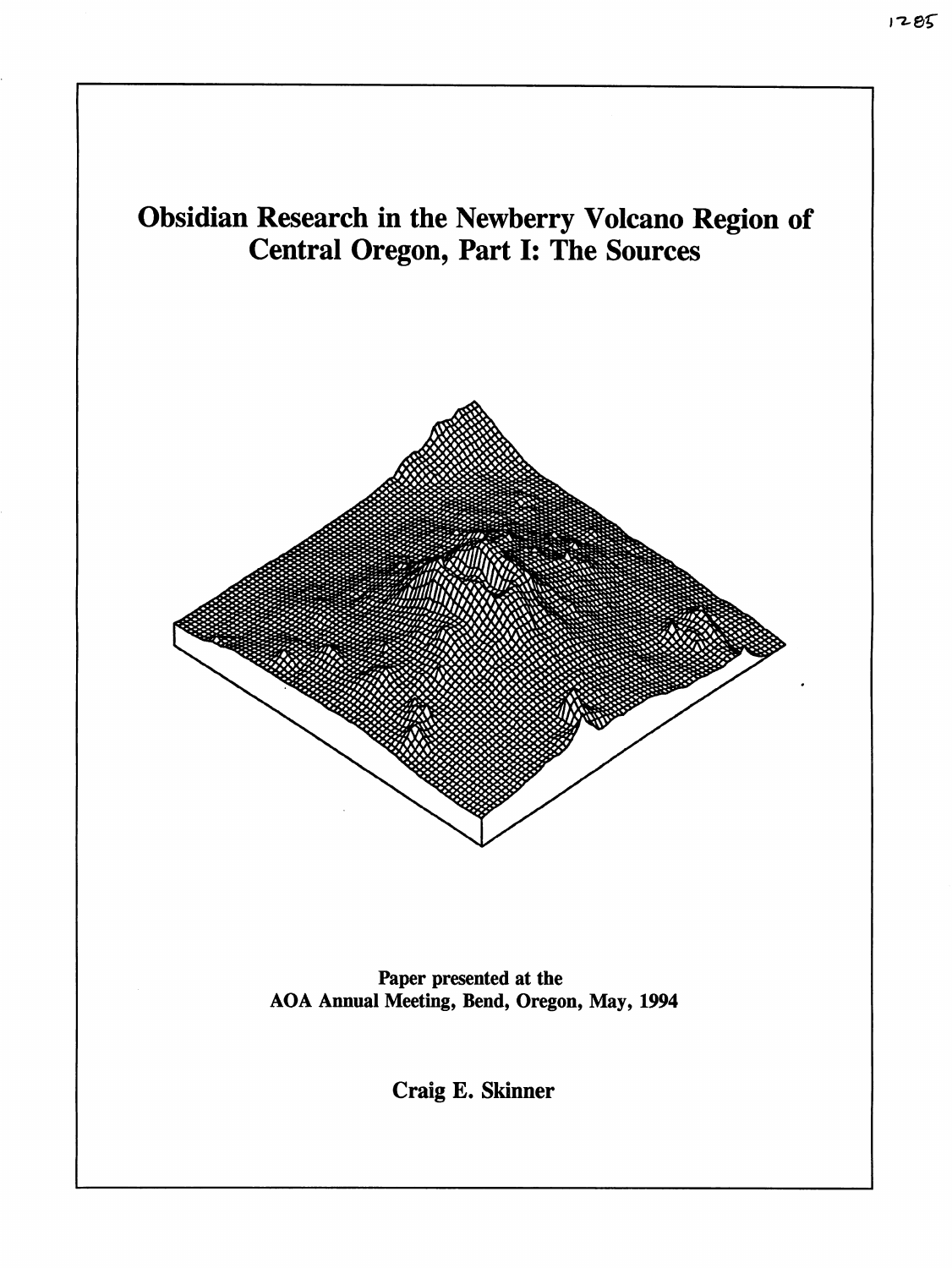

Paper presented at the AOA Annual Meeting, Bend, Oregon, May, 1994

Craig E. Skinner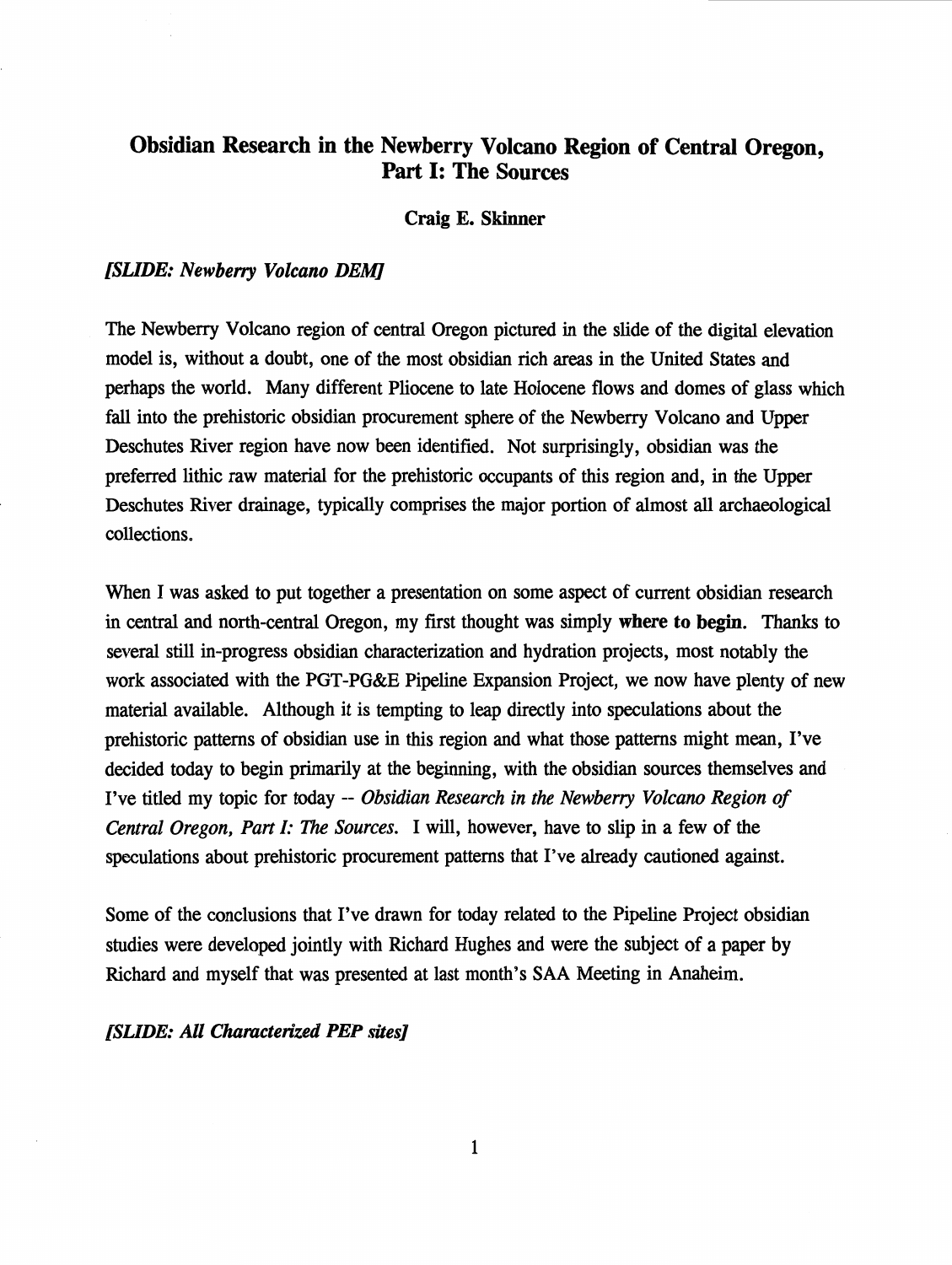# **Obsidian Research in the Newberry Volcano Region of Central Oregon,**  Part I: **The Sources**

#### **Craig E. Skinner**

#### *[SLIDE: Newberry Volcano DEM]*

The Newberry Volcano region of central Oregon pictured in the slide of the digital elevation model is, without a doubt, one of the most obsidian rich areas in the United States and perhaps the world. Many different Pliocene to late Holocene flows and domes of glass which fall into the prehistoric obsidian procurement sphere of the Newberry Volcano and Upper Deschutes River region have now been identified. Not surprisingly, obsidian was the preferred lithic raw material for the prehistoric occupants of this region and, in the Upper Deschutes River drainage, typically comprises the major portion of almost all archaeological collections.

When I was asked to put together a presentation on some aspect of current obsidian research in central and north-central Oregon, my first thought was simply **where to begin.** Thanks to several still in-progress obsidian characterization and hydration projects, most notably the work associated with the PGT-PG&E Pipeline Expansion Project, we now have plenty of new material available. Although it is tempting to leap directly into speculations about the prehistoric patterns of obsidian use in this region and what those patterns might mean, I've decided today to begin primarily at the beginning, with the obsidian sources themselves and I've titled my topic for today -- *Obsidian Research in the Newberry Volcano Region of Central Oregon, Part I: The Sources.* I will, however, have to slip in a few of the speculations about prehistoric procurement patterns that I've already cautioned against.

Some of the conclusions that I've drawn for today related to the Pipeline Project obsidian studies were developed jointly with Richard Hughes and were the subject of a paper by Richard and myself that was presented at last month's SAA Meeting in Anaheim.

*[SLIDE: All Characterized PEP sites]*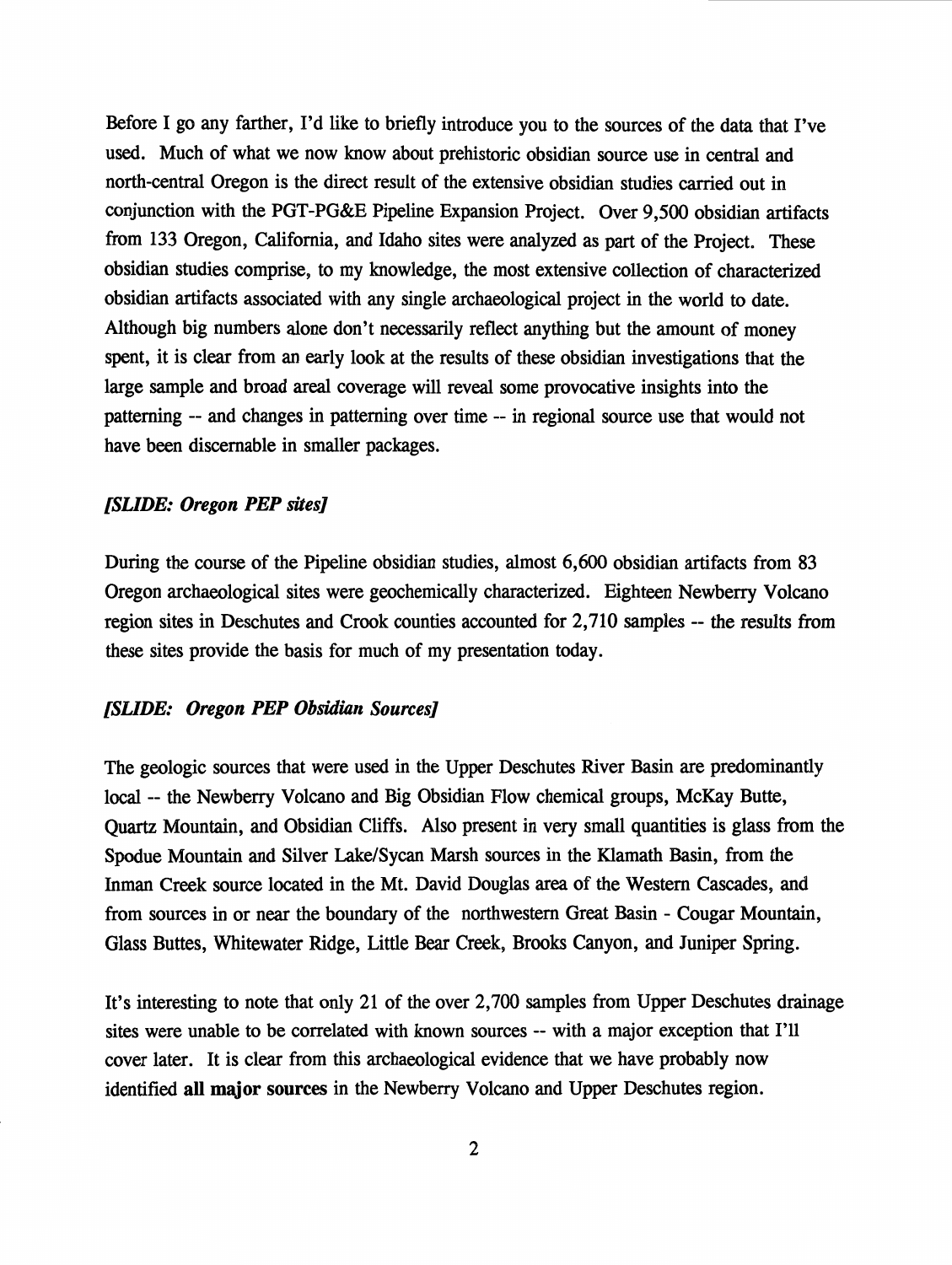Before I go any farther, I'd like to briefly introduce you to the sources of the data that I've used. Much of what we now know about prehistoric obsidian source use in central and north-central Oregon is the direct result of the extensive obsidian studies carried out in conjunction with the PGT-PG&E Pipeline Expansion Project. Over 9,500 obsidian artifacts from 133 Oregon, California, and Idaho sites were analyzed as part of the Project. These obsidian studies comprise, to my knowledge, the most extensive collection of characterized obsidian artifacts associated with any single archaeological project in the world to date. Although big numbers alone don't necessarily reflect anything but the amount of money spent, it is clear from an early look at the results of these obsidian investigations that the large sample and broad areal coverage will reveal some provocative insights into the patterning -- and changes in patterning over time -- in regional source use that would not have been discernable in smaller packages.

## *[SUDE: Oregon PEP sites]*

During the course of the Pipeline obsidian studies, almost 6,600 obsidian artifacts from 83 Oregon archaeological sites were geochemically characterized. Eighteen Newberry Volcano region sites in Deschutes and Crook counties accounted for 2,710 samples -- the results from these sites provide the basis for much of my presentation today.

#### *[SUDE: Oregon PEP Obsidian Sources]*

The geologic sources that were used in the Upper Deschutes River Basin are predominantly local -- the Newberry Volcano and Big Obsidian Flow chemical groups, McKay Butte, Quartz Mountain, and Obsidian Cliffs. Also present in very small quantities is glass from the Spodue Mountain and Silver Lake/Sycan Marsh sources in the Klamath Basin, from the Inman Creek source located in the Mt. David Douglas area of the Western Cascades, and from sources in or near the boundary of the northwestern Great Basin - Cougar Mountain, Glass Buttes, Whitewater Ridge, Little Bear Creek, Brooks Canyon, and Juniper Spring.

It's interesting to note that only 21 of the over 2,700 samples from Upper Deschutes drainage sites were unable to be correlated with known sources -- with a major exception that I'll cover later. It is clear from this archaeological evidence that we have probably now identified **all major sources** in the Newberry Volcano and Upper Deschutes region.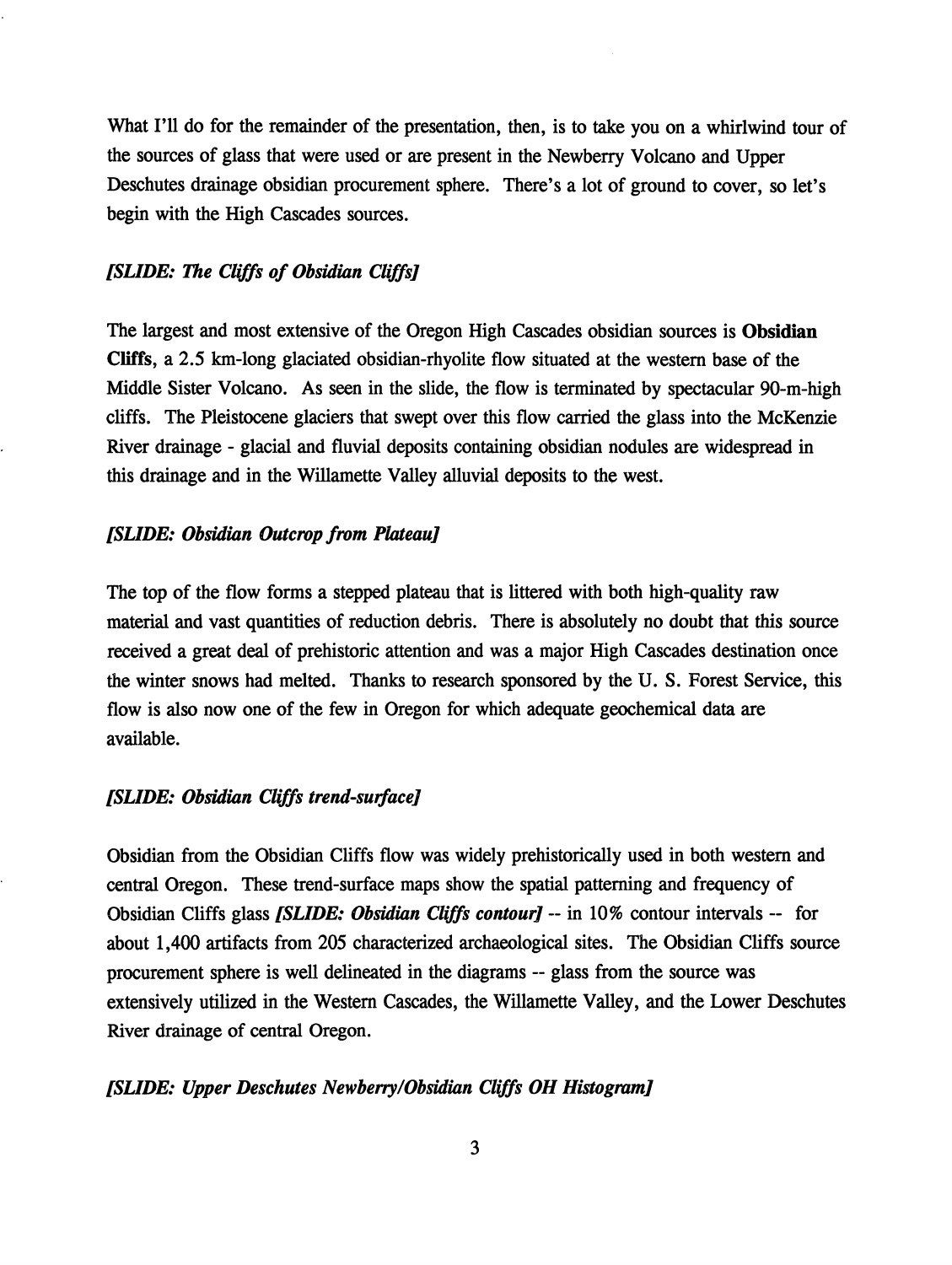What I'll do for the remainder of the presentation, then, is to take you on a whirlwind tour of the sources of glass that were used or are present in the Newberry Volcano and Upper Deschutes drainage obsidian procurement sphere. There's a lot of ground to cover, so let's begin with the High Cascades sources.

# *[SLIDE: The Cliffs of Obsidian Cliffs]*

The largest and most extensive of the Oregon High Cascades obsidian sources is **Obsidian Cliffs,** a 2.5 km-long glaciated obsidian-rhyolite flow situated at the western base of the Middle Sister Volcano. As seen in the slide, the flow is terminated by spectacular 90-m-high cliffs. The Pleistocene glaciers that swept over this flow carried the glass into the McKenzie River drainage - glacial and fluvial deposits containing obsidian nodules are widespread in this drainage and in the Willamette Valley alluvial deposits to the west.

#### *[SLIDE: Obsidian Outcrop from Plateau]*

The top of the flow forms a stepped plateau that is littered with both high-quality raw material and vast quantities of reduction debris. There is absolutely no doubt that this source received a great deal of prehistoric attention and was a major High Cascades destination once the winter snows had melted. Thanks to research sponsored by the U. S. Forest Service, this flow is also now one of the few in Oregon for which adequate geochemical data are available.

# *[SLIDE: Obsidian Cliffs trend-su,face]*

Obsidian from the Obsidian Cliffs flow was widely prehistorically used in both western and central Oregon. These trend-surface maps show the spatial patterning and frequency of Obsidian Cliffs glass *[SLIDE: Obsidian Cliffs contour]* -- in 10 % contour intervals -- for about 1,400 artifacts from 205 characterized archaeological sites. The Obsidian Cliffs source procurement sphere is well delineated in the diagrams -- glass from the source was extensively utilized in the Western Cascades, the Willamette Valley, and the Lower Deschutes River drainage of central Oregon.

#### *[SUDE: Upper Deschutes Newberry/Obsidian Cliffs OH Histogram]*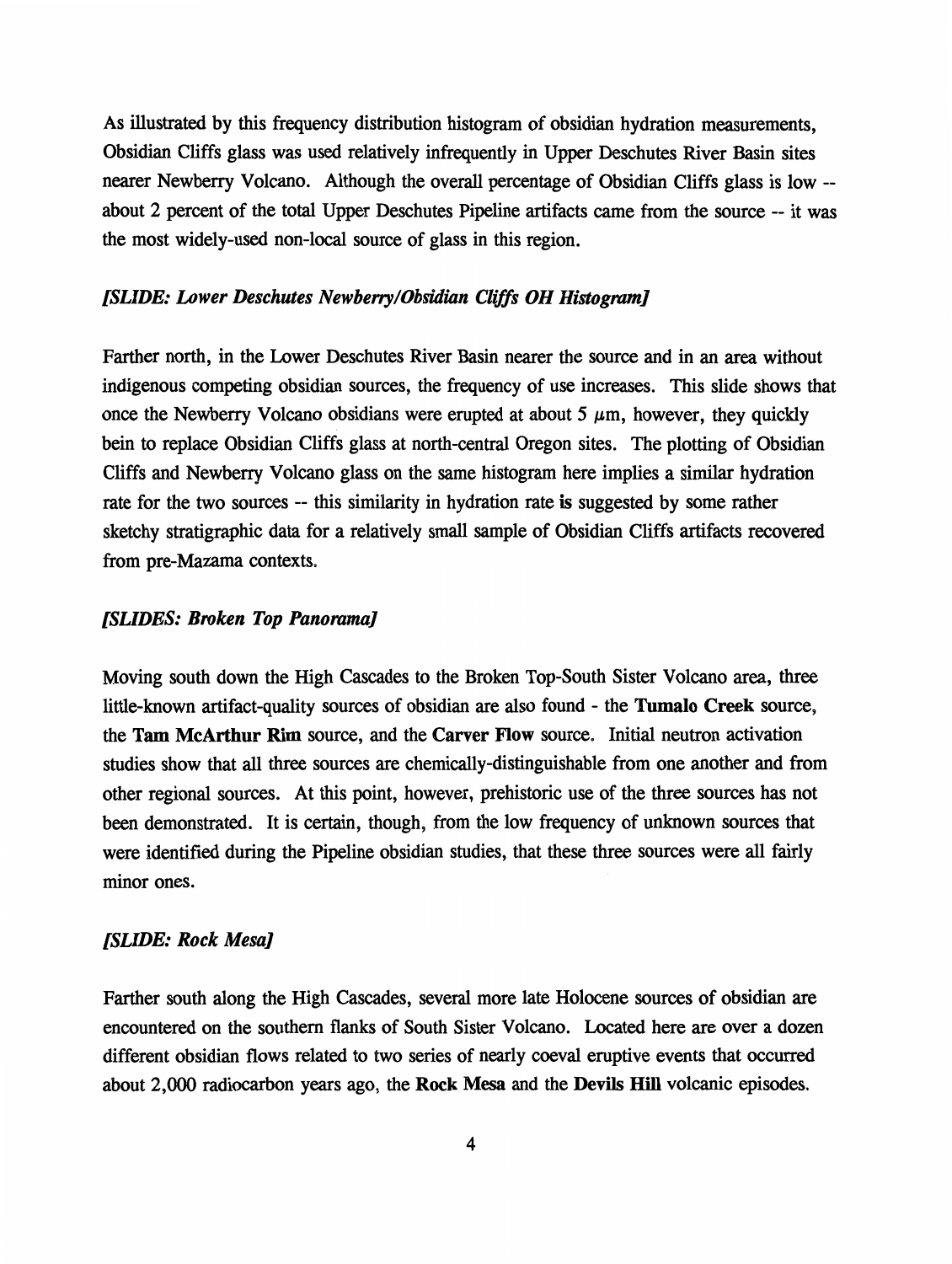As illustrated by this frequency distribution histogram of obsidian hydration measurements, Obsidian Cliffs glass was used relatively infrequently in Upper Deschutes River Basin sites nearer Newberry Volcano. Although the overall percentage of Obsidian Cliffs glass is low - about 2 percent of the total Upper Deschutes Pipeline artifacts came from the source -- it was the most widely-used non-local source of glass in this region.

# *[SUDE: Lower Deschutes Newberry/Obsidian Cliffs OH Histogram]*

Farther north, in the Lower Deschutes River Basin nearer the source and in an area without indigenous competing obsidian sources, the frequency of use increases. This slide shows that once the Newberry Volcano obsidians were erupted at about 5  $\mu$ m, however, they quickly bein to replace Obsidian Cliffs glass at north-central Oregon sites. The plotting of Obsidian Cliffs and Newberry Volcano glass on the same histogram here implies a similar hydration rate for the two sources -- this similarity in hydration rate is suggested by some rather sketchy stratigraphic data for a relatively small sample of Obsidian Cliffs artifacts recovered from pre-Mazama contexts.

#### *[SLIDES: Broken Top Panorama]*

Moving south down the High Cascades to the Broken Top-South Sister Volcano area, three little-known artifact-quality sources of obsidian are also found - the **Tumalo Creek** source, the **Tam McArthur Rim** source, and the **Carver Flow** source. Initial neutron activation studies show that all three sources are chemically-distinguishable from one another and from other regional sources. At this point, however, prehistoric use of the three sources has not been demonstrated. It is certain, though, from the low frequency of unknown sources that were identified during the Pipeline obsidian studies, that these three sources were all fairly minor ones.

#### *[SUDE: Rock Mesa]*

Farther south along the High Cascades, several more late Holocene sources of obsidian are encountered on the southern flanks of South Sister Volcano. Located here are over a dozen different obsidian flows related to two series of nearly coeval eruptive events that occurred about 2,000 radiocarbon years ago, the **Rock Mesa** and the **Devils Hill** volcanic episodes.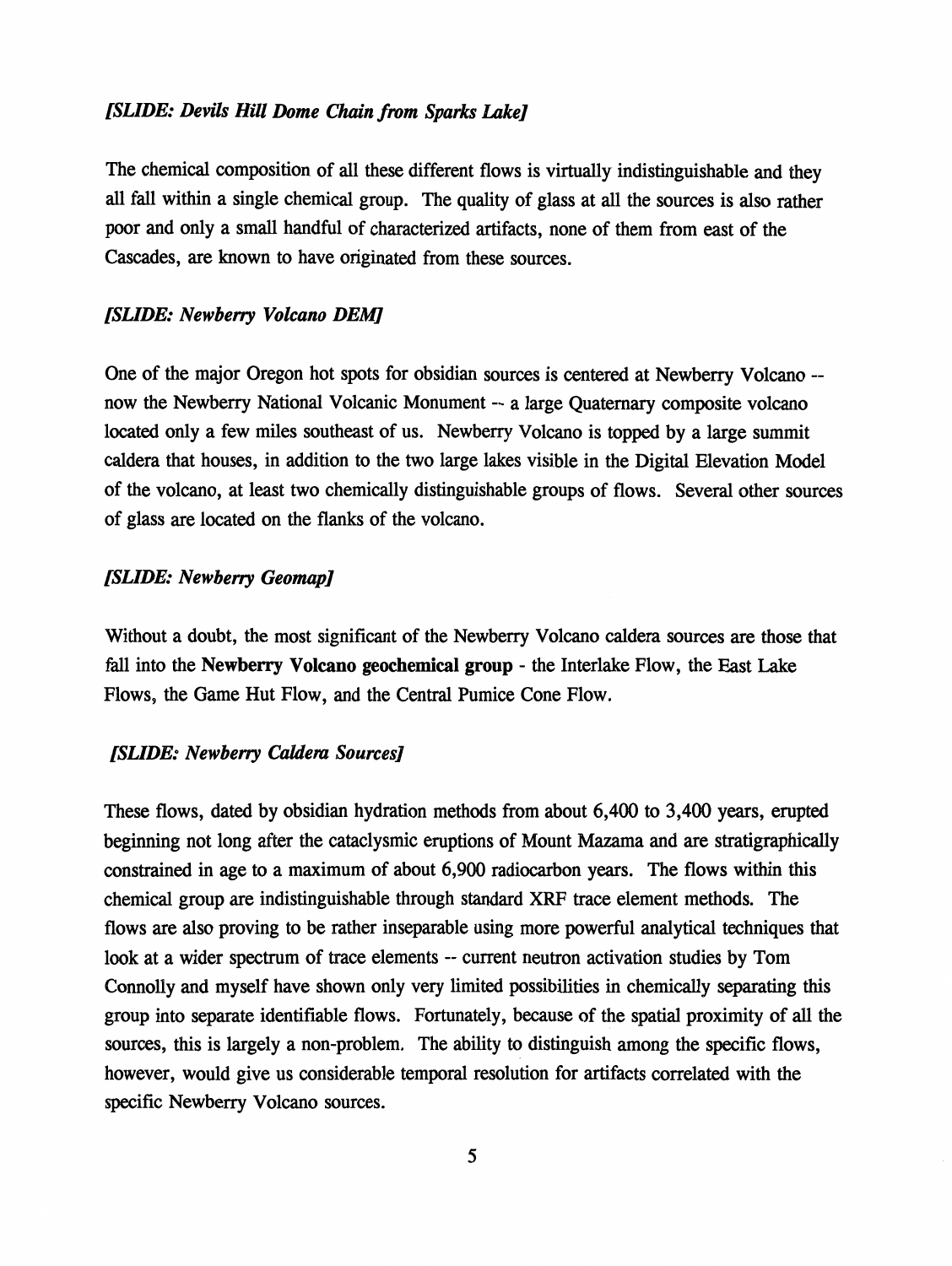## *[SLIDE: Devils Hill Dome Chain from Sparks Lake]*

The chemical composition of all these different flows is virtually indistinguishable and they all fall within a single chemical group. The quality of glass at all the sources is also rather poor and only a small handful of characterized artifacts, none of them from east of the Cascades, are known to have originated from these sources.

#### *[SLIDE: Newberry Volcano DEM]*

One of the major Oregon hot spots for obsidian sources is centered at Newberry Volcano - now the Newberry National Volcanic Monument -- a large Quaternary composite volcano located only a few miles southeast of us. Newberry Volcano is topped by a large summit caldera that houses, in addition to the two large lakes visible in the Digital Elevation Model of the volcano, at least two chemically distinguishable groups of flows. Several other sources of glass are located on the flanks of the volcano.

#### *[SLIDE: Newberry Geomap]*

Without a doubt, the most significant of the Newberry Volcano caldera sources are those that fall into the **Newberry Volcano geochemical group** - the Interlake Flow, the East Lake Flows, the Game Hut Flow, and the Central Pumice Cone Flow.

#### *[SLIDE: Newberry Caldera Sources]*

These flows, dated by obsidian hydration methods from about 6,400 to 3,400 years, erupted beginning not long after the cataclysmic eruptions of Mount Mazama and are stratigraphically constrained in age to a maximum of about 6,900 radiocarbon years. The flows within this chemical group are indistinguishable through standard XRF trace element methods. The flows are also proving to be rather inseparable using more powerful analytical techniques that look at a wider spectrum of trace elements -- current neutron activation studies by Tom Connolly and myself have shown only very limited possibilities in chemically separating this group into separate identifiable flows. Fortunately, because of the spatial proximity of all the sources, this is largely a non-problem. The ability to distinguish among the specific flows, however, would give us considerable temporal resolution for artifacts correlated with the specific Newberry Volcano sources.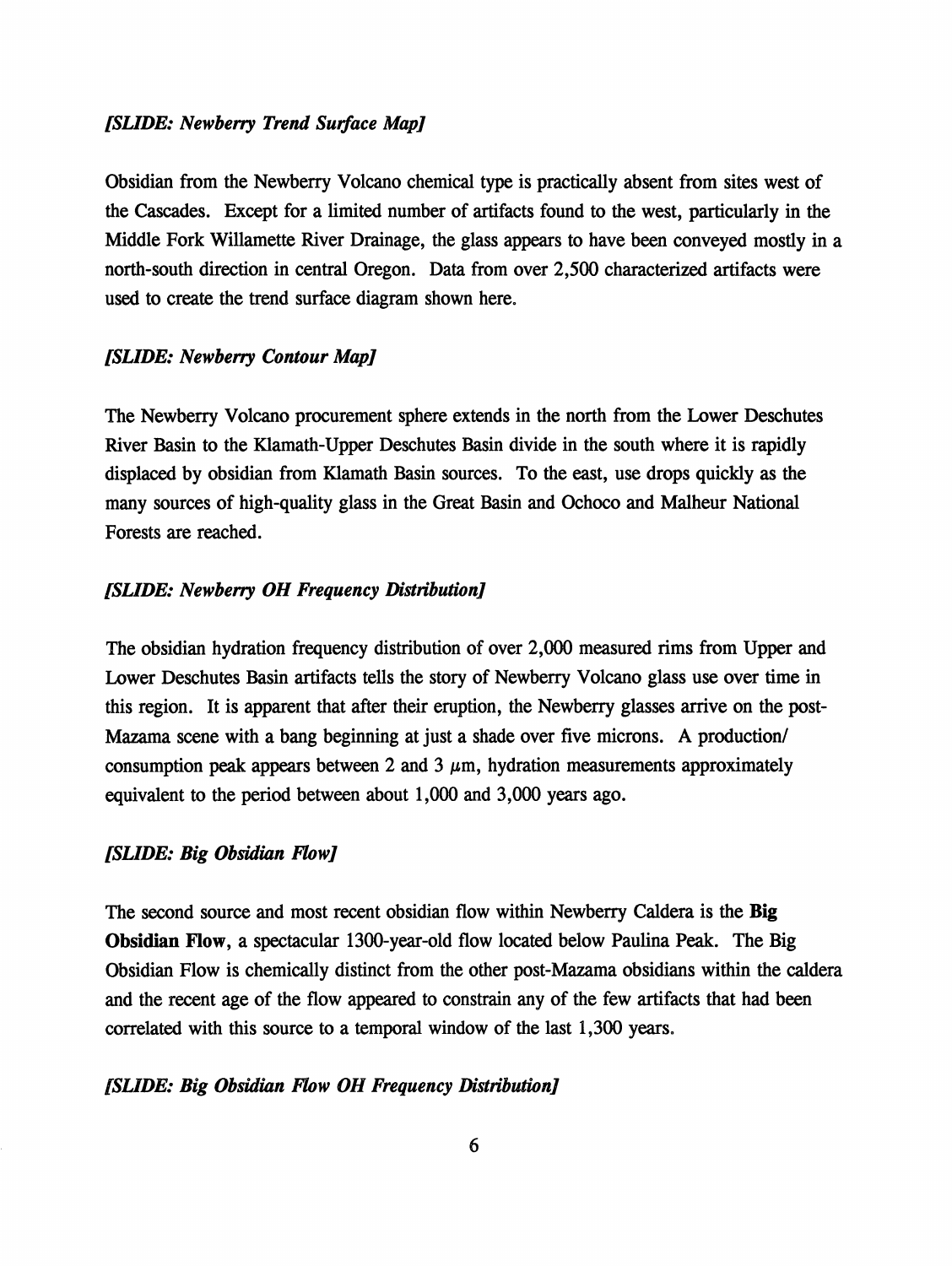#### *[SUDE: Newberry Trend Surface Map]*

Obsidian from the Newberry Volcano chemical type is practically absent from sites west of the Cascades. Except for a limited number of artifacts found to the west, particularly in the Middle Fork Willamette River Drainage, the glass appears to have been conveyed mostly in a north-south direction in central Oregon. Data from over 2,500 characterized artifacts were used to create the trend surface diagram shown here.

#### *[SLIDE: Newberry Contour Map]*

The Newberry Volcano procurement sphere extends in the north from the Lower Deschutes River Basin to the Klamath-Upper Deschutes Basin divide in the south where it is rapidly displaced by obsidian from Klamath Basin sources. To the east, use drops quickly as the many sources of high-quality glass in the Great Basin and Ochoco and Malheur National Forests are reached.

#### *[SLIDE: Newberry OH Frequency Distribution]*

The obsidian hydration frequency distribution of over 2,000 measured rims from Upper and Lower Deschutes Basin artifacts tells the story of Newberry Volcano glass use over time in this region. It is apparent that after their eruption, the Newberry glasses arrive on the post-Mazama scene with a bang beginning at just a shade over five microns. A production/ consumption peak appears between 2 and 3  $\mu$ m, hydration measurements approximately equivalent to the period between about 1,000 and 3,000 years ago.

#### *[SLIDE: Big Obsidian Flow]*

The second source and most recent obsidian flow within Newberry Caldera is the **Big Obsidian Flow,** a spectacular 1300-year-old flow located below Paulina Peak. The Big Obsidian Flow is chemically distinct from the other post-Mazama obsidians within the caldera and the recent age of the flow appeared to constrain any of the few artifacts that had been correlated with this source to a temporal window of the last 1,300 years.

#### *[SLIDE: Big Obsidian Flow OH Frequency Distribution]*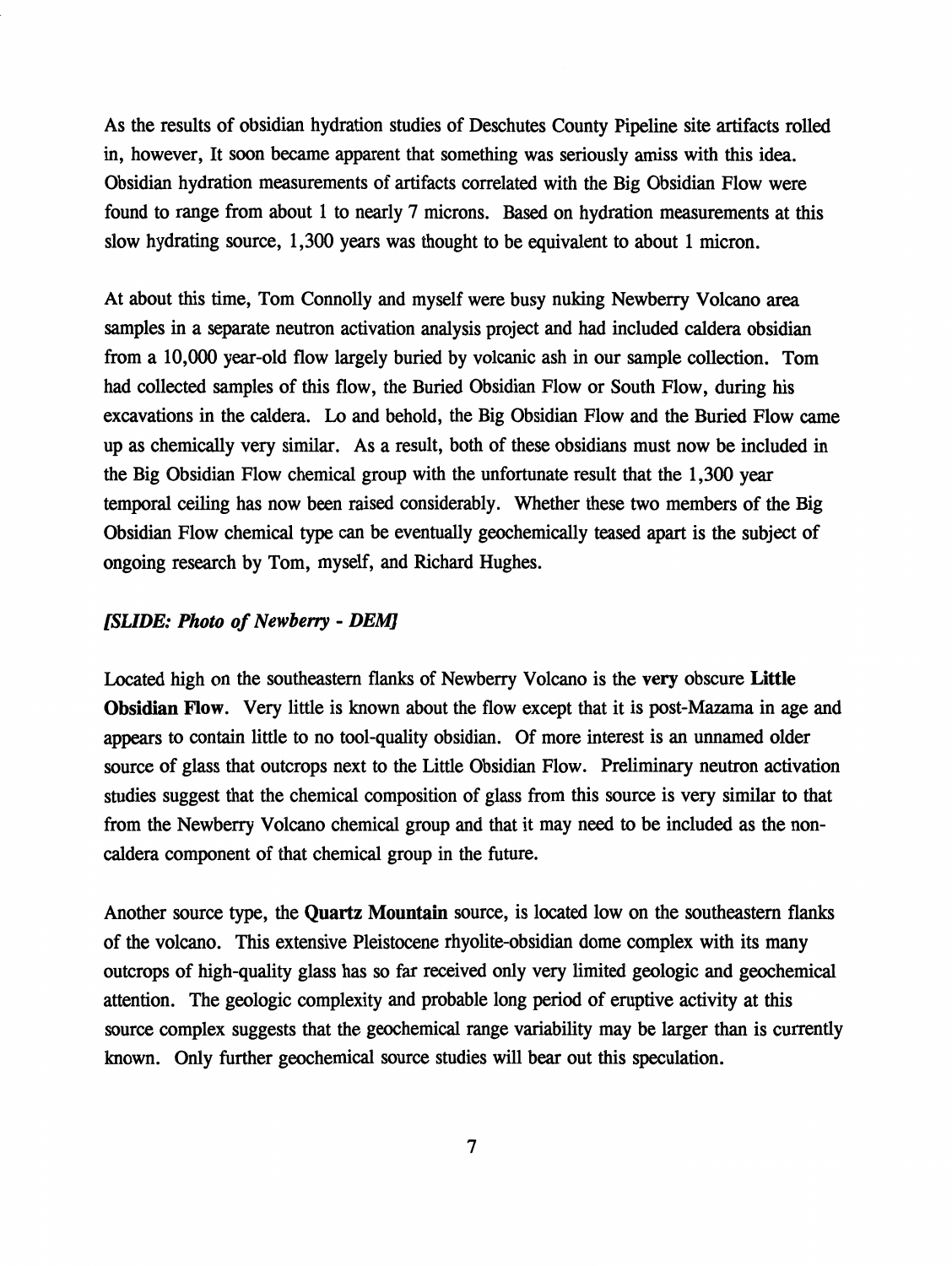As the results of obsidian hydration studies of Deschutes County Pipeline site artifacts rolled in, however, It soon became apparent that something was seriously amiss with this idea. Obsidian hydration measurements of artifacts correlated with the Big Obsidian Flow were found to range from about 1 to nearly 7 microns. Based on hydration measurements at this slow hydrating source, 1,300 years was thought to be equivalent to about 1 micron.

At about this time, Tom Connolly and myself were busy nuking Newberry Volcano area samples in a separate neutron activation analysis project and had included caldera obsidian from a 10,000 year-old flow largely buried by volcanic ash in our sample collection. Tom had collected samples of this flow, the Buried Obsidian Flow or South Flow, during his excavations in the caldera. Lo and behold, the Big Obsidian Flow and the Buried Flow came up as chemically very similar. As a result, both of these obsidians must now be included in the Big Obsidian Flow chemical group with the unfortunate result that the 1,300 year temporal ceiling has now been raised considerably. Whether these two members of the Big Obsidian Flow chemical type can be eventually geochemically teased apart is the subject of ongoing research by Tom, myself, and Richard Hughes.

#### *[SLIDE: Photo of Newberry* - *DEM]*

Located high on the southeastern flanks of Newberry Volcano is the very obscure **Little Obsidian Flow.** Very little is known about the flow except that it is post-Mazama in age and appears to contain little to no tool-quality obsidian. Of more interest is an unnamed older source of glass that outcrops next to the Little Obsidian Flow. Preliminary neutron activation studies suggest that the chemical composition of glass from this source is very similar to that from the Newberry Volcano chemical group and that it may need to be included as the noncaldera component of that chemical group in the future.

Another source type, the **Quartz Mountain** source, is located low on the southeastern flanks of the volcano. This extensive Pleistocene rhyolite-obsidian dome complex with its many outcrops of high-quality glass has so far received only very limited geologic and geochemical attention. The geologic complexity and probable long period of eruptive activity at this source complex suggests that the geochemical range variability may be larger than is currently known. Only further geochemical source studies will bear out this speculation.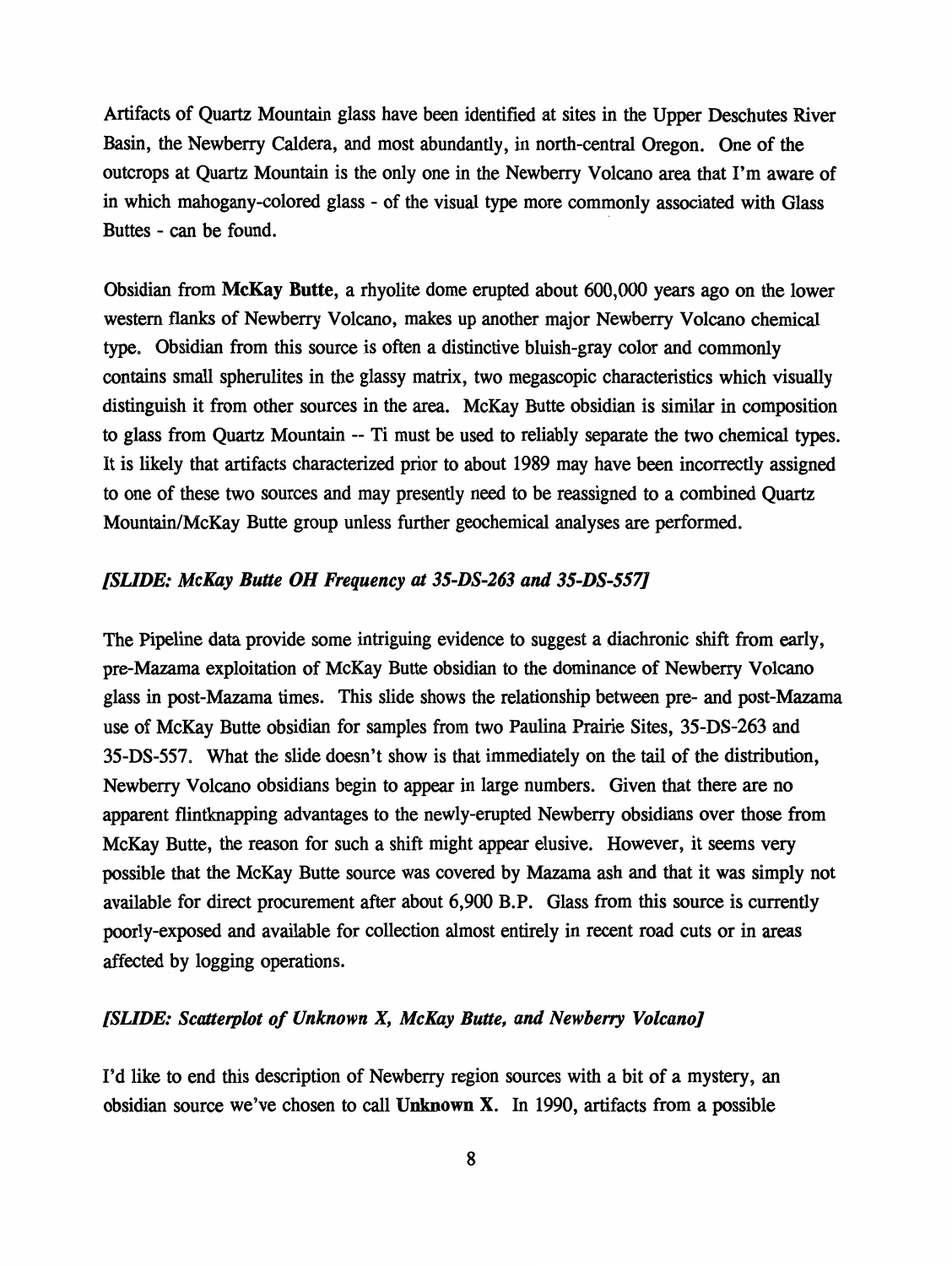Artifacts of Quartz Mountain glass have been identified at sites in the Upper Deschutes River Basin, the Newberry Caldera, and most abundantly, in north-central Oregon. One of the outcrops at Quartz Mountain is the only one in the Newberry Volcano area that I'm aware of in which mahogany-colored glass - of the visual type more commonly associated with Glass Buttes - can be found.

Obsidian from **McKay Butte,** a rhyolite dome erupted about 600,000 years ago on the lower western flanks of Newberry Volcano, makes up another major Newberry Volcano chemical type. Obsidian from this source is often a distinctive bluish-gray color and commonly contains small spherulites in the glassy matrix, two megascopic characteristics which visually distinguish it from other sources in the area. McKay Butte obsidian is similar in composition to glass from Quartz Mountain -- Ti must be used to reliably separate the two chemical types. It is likely that artifacts characterized prior to about 1989 may have been incorrectly assigned to one of these two sources and may presently need to be reassigned to a combined Quartz Mountain/McKay Butte group unless further geochemical analyses are performed.

#### *[SUDE: McKay Butte OH Frequency* **at** *35-DS-263 and 35-DS-557]*

The Pipeline data provide some intriguing evidence to suggest a diachronic shift from early, pre-Mazama exploitation of McKay Butte obsidian to the dominance of Newberry Volcano glass in post-Mazama times. This slide shows the relationship between pre- and post-Mazama use of McKay Butte obsidian for samples from two Paulina Prairie Sites, 35-DS-263 and 35-DS-557. What the slide doesn't show is that immediately on the tail of the distribution, Newberry Volcano obsidians begin to appear in large numbers. Given that there are no apparent flintknapping advantages to the newly-erupted Newberry obsidians over those from McKay Butte, the reason for such a shift might appear elusive. However, it seems very possible that the McKay Butte source was covered by Mazama ash and that it was simply not available for direct procurement after about 6,900 B.P. Glass from this source is currently poorly-exposed and available for collection almost entirely in recent road cuts or in areas affected by logging operations.

#### *[SUDE: Scatterplot of Unknown X, McKay Butte, and Newberry Volcano]*

I'd like to end this description of Newberry region sources with a bit of a mystery, an obsidian source we've chosen to call **Unknown X.** In 1990, artifacts from a possible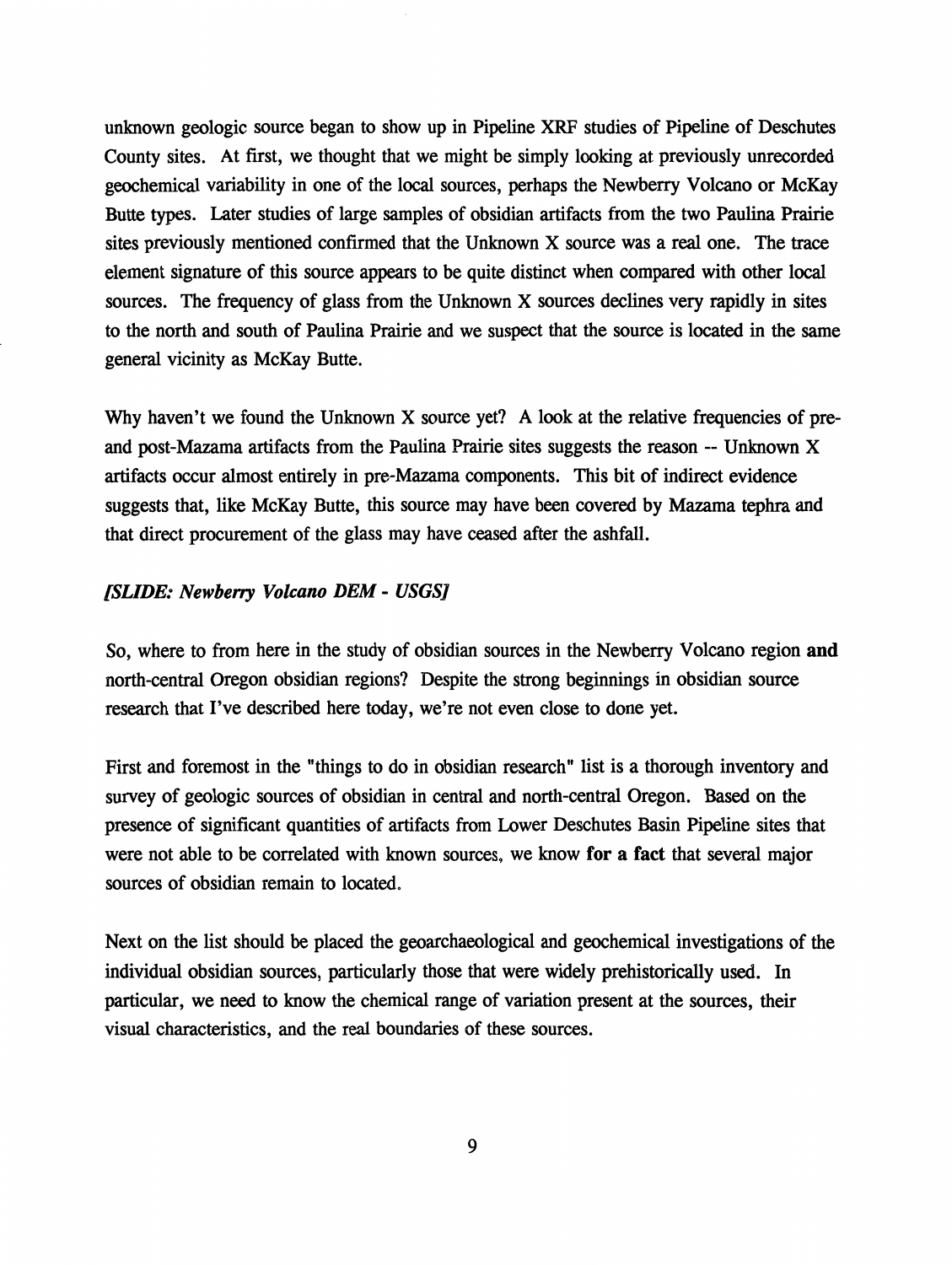unknown geologic source began to show up in Pipeline XRF studies of Pipeline of Deschutes County sites. At first, we thought that we might be simply looking at previously unrecorded geochemical variability in one of the local sources, perhaps the Newberry Volcano or McKay Butte types. Later studies of large samples of obsidian artifacts from the two Paulina Prairie sites previously mentioned confirmed that the Unknown X source was a real one. The trace element signature of this source appears to be quite distinct when compared with other local sources. The frequency of glass from the Unknown X sources declines very rapidly in sites to the north and south of Paulina Prairie and we suspect that the source is located in the same general vicinity as McKay Butte.

Why haven't we found the Unknown X source yet? A look at the relative frequencies of preand post-Mazama artifacts from the Paulina Prairie sites suggests the reason -- Unknown X artifacts occur almost entirely in pre-Mazama components. This bit of indirect evidence suggests that, like McKay Butte, this source may have been covered by Mazama tephra and that direct procurement of the glass may have ceased after the ashfall.

# *[SLIDE: Newberry Volcano DEM* - *USGSJ*

So, where to from here in the study of obsidian sources in the Newberry Volcano region **and**  north-central Oregon obsidian regions? Despite the strong beginnings in obsidian source research that I've described here today, we're not even close to done yet.

First and foremost in the "things to do in obsidian research" list is a thorough inventory and survey of geologic sources of obsidian in central and north-central Oregon. Based on the presence of significant quantities of artifacts from Lower Deschutes Basin Pipeline sites that were not able to be correlated with known sources, we know **for a fact** that several major sources of obsidian remain to located.

Next on the list should be placed the geoarchaeological and geochemical investigations of the individual obsidian sources, particularly those that were widely prehistorically used. In particular, we need to know the chemical range of variation present at the sources, their visual characteristics, and the real boundaries of these sources.